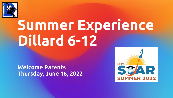

# **Summer Experience Dillard 6-12**

**Welcome Parents Thursday, June 16, 2022**

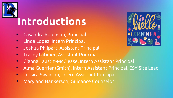

## **Introductions**

- Casandra Robinson, Principal
- Linda Lopez, Intern Principal
- Joshua Philpart, Assistant Principal
- Tracey Latimer, Assistant Principal
- Gianna Faustin-McClease, Intern Assistant Principal
- Alma Guerrier (Smith), Intern Assistant Principal, ESY Site Lead
- Jessica Swanson, Intern Assistant Principal
- Maryland Hankerson, Guidance Counselor

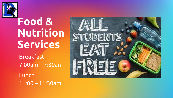

## **Food & Nutrition Services**

Breakfast 7:00am – 7:30am

Lunch 11:00 – 11:30am

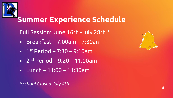

### **Summer Experience Schedule**

Full Session: June 16th -July 28th \*

- Breakfast 7:00am 7:30am
- $\blacksquare$  1st Period 7:30 9:10am
- $\blacksquare$  2<sup>nd</sup> Period 9:20 11:00am
- $\blacksquare$  Lunch 11:00 11:30am

#### *\*School Closed July 4th*

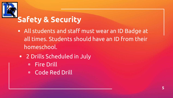

### **Safety & Security**

- All students and staff must wear an ID Badge at all times. Students should have an ID from their homeschool.
- 2 Drills Scheduled in July
	- Fire Drill
	- Code Red Drill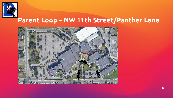

#### **Parent Loop – NW 11th Street/Panther Lane**

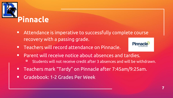

- Attendance is imperative to successfully complete course recovery with a passing grade.
- **EXEC** Teachers will record attendance on Pinnacle.



- Parent will receive notice about absences and tardies.
	- Students will not receive credit after 3 absences and will be withdrawn.
- Teachers mark "Tardy" on Pinnacle after 7:45am/9:25am.
- Gradebook: 1-2 Grades Per Week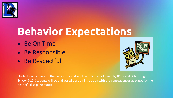

## **Behavior Expectations**

- Be On Time
- Be Responsible
- Be Respectful



Students will adhere to the behavior and discipline policy as followed by BCPS and Dillard High School 6-12. Students will be addressed per administration with the consequences as stated by the district's discipline matrix.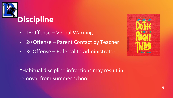

- 1st Offense Verbal Warning
- 2<sup>nd</sup> Offense Parent Contact by Teacher
- 3rd Offense Referral to Administrator



\*Habitual discipline infractions may result in removal from summer school.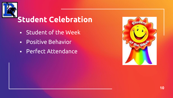

## **Student Celebration**

- Student of the Week
- Positive Behavior
- Perfect Attendance

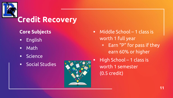

### **Credit Recovery**

#### **Core Subjects**

- English
- Math
- Science
- Social Studies



- Middle School 1 class is worth 1 full year
	- Earn "P" for pass if they earn 60% or higher
	- High School  $-1$  class is worth 1 semester (0.5 credit)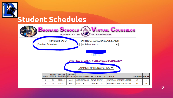

#### **Student Schedules**

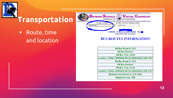

#### **Transportation**

■ Route, time and location

**BROWARD SCHOOLS** POWERED BY THE & **DATA WAREHOUSE STUDENT INFO:** INSTRUCTIONAL/SCHOOL LINKS: **Bus Routes** Select Item --SCHOOL: CORAL GLADES HIGH GR: **UPDATE DATE: 6/14/2022** 

VIRTUAL COUNSELOR

#### **BUS ROUTES INFORMATION**

| <b>AM Bus Route #: 1215</b>                    |
|------------------------------------------------|
| <b>AM Bus Number:</b>                          |
| <b>AM Bus Time: 08:39</b>                      |
| cation: CORAL SPRINGS DR,CS (SBOUND) & NW 41ST |
| <b>PM Bus Route #: 1215</b>                    |
| <b>PM Bus Number:</b>                          |
| <b>PM Bus Time: 01:46</b>                      |
| cation: CORAL SPRINGS DR,CS (SBOUND) & NW 41ST |
| Distance from School is: 2.27 miles            |
| <b>Eligible for bus: YES</b>                   |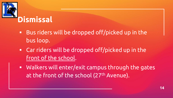

- Bus riders will be dropped off/picked up in the bus loop.
- Car riders will be dropped off/picked up in the front of the school.
- Walkers will enter/exit campus through the gates at the front of the school (27<sup>th</sup> Avenue).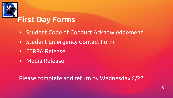

#### **First Day Forms**

- Student Code of Conduct Acknowledgement
- Student Emergency Contact Form
- **ERPA Release**
- Media Release

Please complete and return by Wednesday 6/22